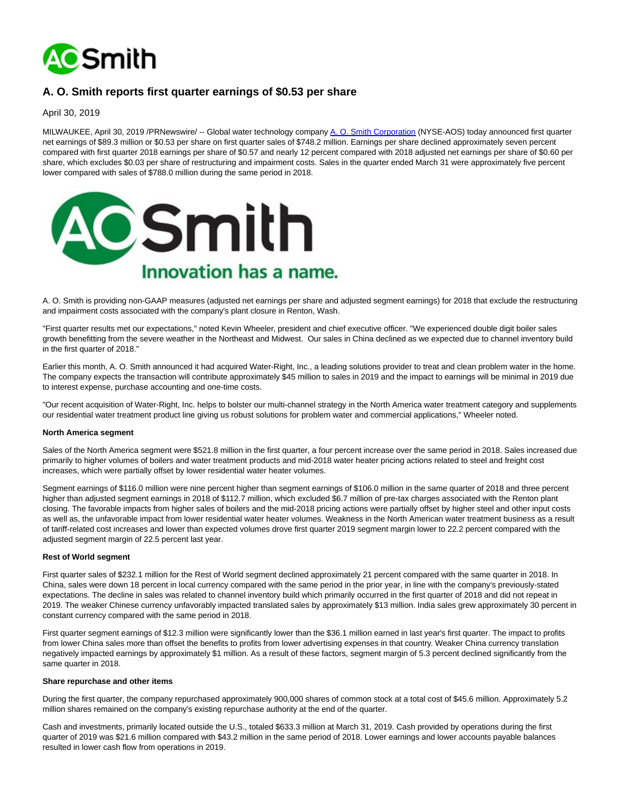

# **A. O. Smith reports first quarter earnings of \$0.53 per share**

April 30, 2019

MILWAUKEE, April 30, 2019 /PRNewswire/ -- Global water technology company [A. O. Smith Corporation \(](https://c212.net/c/link/?t=0&l=en&o=2450588-1&h=1071819786&u=https%3A%2F%2Fwww.aosmith.com%2F&a=A.+O.+Smith+Corporation)NYSE-AOS) today announced first quarter net earnings of \$89.3 million or \$0.53 per share on first quarter sales of \$748.2 million. Earnings per share declined approximately seven percent compared with first quarter 2018 earnings per share of \$0.57 and nearly 12 percent compared with 2018 adjusted net earnings per share of \$0.60 per share, which excludes \$0.03 per share of restructuring and impairment costs. Sales in the quarter ended March 31 were approximately five percent lower compared with sales of \$788.0 million during the same period in 2018.



A. O. Smith is providing non-GAAP measures (adjusted net earnings per share and adjusted segment earnings) for 2018 that exclude the restructuring and impairment costs associated with the company's plant closure in Renton, Wash.

"First quarter results met our expectations," noted Kevin Wheeler, president and chief executive officer. "We experienced double digit boiler sales growth benefitting from the severe weather in the Northeast and Midwest. Our sales in China declined as we expected due to channel inventory build in the first quarter of 2018."

Earlier this month, A. O. Smith announced it had acquired Water-Right, Inc., a leading solutions provider to treat and clean problem water in the home. The company expects the transaction will contribute approximately \$45 million to sales in 2019 and the impact to earnings will be minimal in 2019 due to interest expense, purchase accounting and one-time costs.

"Our recent acquisition of Water-Right, Inc. helps to bolster our multi-channel strategy in the North America water treatment category and supplements our residential water treatment product line giving us robust solutions for problem water and commercial applications," Wheeler noted.

#### **North America segment**

Sales of the North America segment were \$521.8 million in the first quarter, a four percent increase over the same period in 2018. Sales increased due primarily to higher volumes of boilers and water treatment products and mid-2018 water heater pricing actions related to steel and freight cost increases, which were partially offset by lower residential water heater volumes.

Segment earnings of \$116.0 million were nine percent higher than segment earnings of \$106.0 million in the same quarter of 2018 and three percent higher than adjusted segment earnings in 2018 of \$112.7 million, which excluded \$6.7 million of pre-tax charges associated with the Renton plant closing. The favorable impacts from higher sales of boilers and the mid-2018 pricing actions were partially offset by higher steel and other input costs as well as, the unfavorable impact from lower residential water heater volumes. Weakness in the North American water treatment business as a result of tariff-related cost increases and lower than expected volumes drove first quarter 2019 segment margin lower to 22.2 percent compared with the adjusted segment margin of 22.5 percent last year.

### **Rest of World segment**

First quarter sales of \$232.1 million for the Rest of World segment declined approximately 21 percent compared with the same quarter in 2018. In China, sales were down 18 percent in local currency compared with the same period in the prior year, in line with the company's previously-stated expectations. The decline in sales was related to channel inventory build which primarily occurred in the first quarter of 2018 and did not repeat in 2019. The weaker Chinese currency unfavorably impacted translated sales by approximately \$13 million. India sales grew approximately 30 percent in constant currency compared with the same period in 2018.

First quarter segment earnings of \$12.3 million were significantly lower than the \$36.1 million earned in last year's first quarter. The impact to profits from lower China sales more than offset the benefits to profits from lower advertising expenses in that country. Weaker China currency translation negatively impacted earnings by approximately \$1 million. As a result of these factors, segment margin of 5.3 percent declined significantly from the same quarter in 2018.

### **Share repurchase and other items**

During the first quarter, the company repurchased approximately 900,000 shares of common stock at a total cost of \$45.6 million. Approximately 5.2 million shares remained on the company's existing repurchase authority at the end of the quarter.

Cash and investments, primarily located outside the U.S., totaled \$633.3 million at March 31, 2019. Cash provided by operations during the first quarter of 2019 was \$21.6 million compared with \$43.2 million in the same period of 2018. Lower earnings and lower accounts payable balances resulted in lower cash flow from operations in 2019.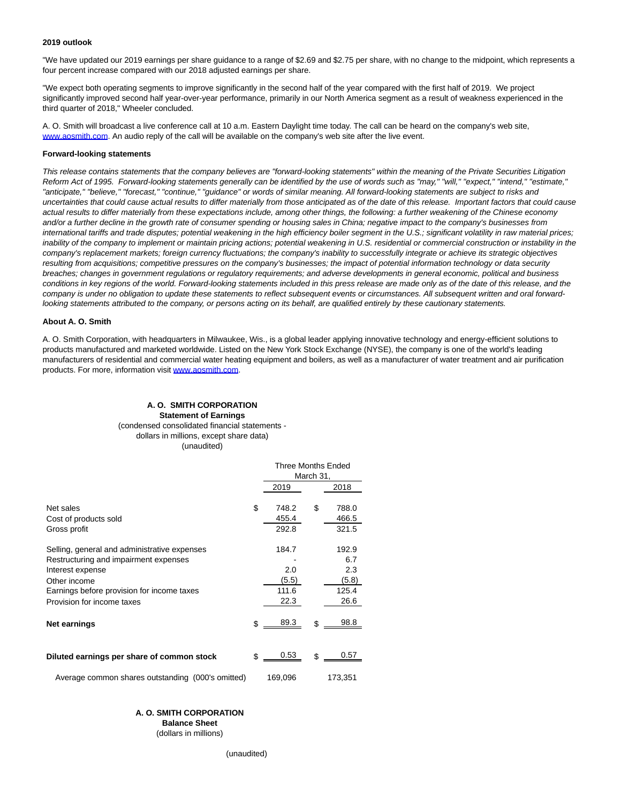#### **2019 outlook**

"We have updated our 2019 earnings per share guidance to a range of \$2.69 and \$2.75 per share, with no change to the midpoint, which represents a four percent increase compared with our 2018 adjusted earnings per share.

"We expect both operating segments to improve significantly in the second half of the year compared with the first half of 2019. We project significantly improved second half year-over-year performance, primarily in our North America segment as a result of weakness experienced in the third quarter of 2018," Wheeler concluded.

A. O. Smith will broadcast a live conference call at 10 a.m. Eastern Daylight time today. The call can be heard on the company's web site, [www.aosmith.com.](https://c212.net/c/link/?t=0&l=en&o=2450588-1&h=4246625212&u=http%3A%2F%2Fwww.aosmith.com%2F&a=www.aosmith.com) An audio reply of the call will be available on the company's web site after the live event.

### **Forward-looking statements**

This release contains statements that the company believes are "forward-looking statements" within the meaning of the Private Securities Litigation Reform Act of 1995. Forward-looking statements generally can be identified by the use of words such as "may," "will," "expect," "intend," "estimate," "anticipate," "believe," "forecast," "continue," "guidance" or words of similar meaning. All forward-looking statements are subject to risks and uncertainties that could cause actual results to differ materially from those anticipated as of the date of this release. Important factors that could cause actual results to differ materially from these expectations include, among other things, the following: a further weakening of the Chinese economy and/or a further decline in the growth rate of consumer spending or housing sales in China; negative impact to the company's businesses from international tariffs and trade disputes; potential weakening in the high efficiency boiler segment in the U.S.; significant volatility in raw material prices; inability of the company to implement or maintain pricing actions; potential weakening in U.S. residential or commercial construction or instability in the company's replacement markets; foreign currency fluctuations; the company's inability to successfully integrate or achieve its strategic objectives resulting from acquisitions; competitive pressures on the company's businesses; the impact of potential information technology or data security breaches; changes in government regulations or regulatory requirements; and adverse developments in general economic, political and business conditions in key regions of the world. Forward-looking statements included in this press release are made only as of the date of this release, and the company is under no obligation to update these statements to reflect subsequent events or circumstances. All subsequent written and oral forwardlooking statements attributed to the company, or persons acting on its behalf, are qualified entirely by these cautionary statements.

### **About A. O. Smith**

A. O. Smith Corporation, with headquarters in Milwaukee, Wis., is a global leader applying innovative technology and energy-efficient solutions to products manufactured and marketed worldwide. Listed on the New York Stock Exchange (NYSE), the company is one of the world's leading manufacturers of residential and commercial water heating equipment and boilers, as well as a manufacturer of water treatment and air purification products. For more, information visit [www.aosmith.com.](https://c212.net/c/link/?t=0&l=en&o=2450588-1&h=4246625212&u=http%3A%2F%2Fwww.aosmith.com%2F&a=www.aosmith.com)

### **A. O. SMITH CORPORATION Statement of Earnings** (condensed consolidated financial statements dollars in millions, except share data) (unaudited)

|                                                                                                                                                                                                       | <b>Three Months Ended</b><br>March 31, |    |                                               |  |
|-------------------------------------------------------------------------------------------------------------------------------------------------------------------------------------------------------|----------------------------------------|----|-----------------------------------------------|--|
|                                                                                                                                                                                                       | 2019                                   |    | 2018                                          |  |
| Net sales<br>Cost of products sold<br>Gross profit                                                                                                                                                    | \$<br>748.2<br>455.4<br>292.8          | \$ | 788.0<br>466.5<br>321.5                       |  |
| Selling, general and administrative expenses<br>Restructuring and impairment expenses<br>Interest expense<br>Other income<br>Earnings before provision for income taxes<br>Provision for income taxes | 184.7<br>2.0<br>(5.5)<br>111.6<br>22.3 |    | 192.9<br>6.7<br>2.3<br>(5.8)<br>125.4<br>26.6 |  |
| Net earnings                                                                                                                                                                                          | \$<br>89.3                             | \$ | 98.8                                          |  |
| Diluted earnings per share of common stock                                                                                                                                                            | \$<br>0.53                             | \$ | 0.57                                          |  |
| Average common shares outstanding (000's omitted)                                                                                                                                                     | 169,096                                |    | 173,351                                       |  |

### **A. O. SMITH CORPORATION**

**Balance Sheet**

(dollars in millions)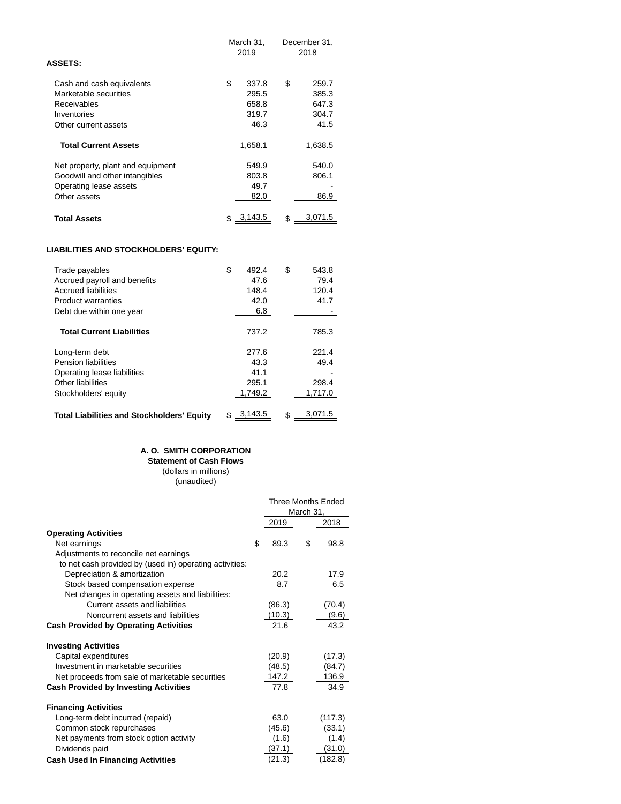|                                   | March 31,<br>2019 |    | December 31,<br>2018 |
|-----------------------------------|-------------------|----|----------------------|
| <b>ASSETS:</b>                    |                   |    |                      |
| Cash and cash equivalents         | \$<br>337.8       | S  | 259.7                |
| Marketable securities             | 295.5             |    | 385.3                |
| Receivables                       | 658.8             |    | 647.3                |
| Inventories                       | 319.7             |    | 304.7                |
| Other current assets              | 46.3              |    | 41.5                 |
| <b>Total Current Assets</b>       | 1,658.1           |    | 1,638.5              |
| Net property, plant and equipment | 549.9             |    | 540.0                |
| Goodwill and other intangibles    | 803.8             |    | 806.1                |
| Operating lease assets            | 49.7              |    |                      |
| Other assets                      | 82.0              |    | 86.9                 |
|                                   |                   |    |                      |
| <b>Total Assets</b>               | 3,143.5           | \$ | 3,071.5              |

### **LIABILITIES AND STOCKHOLDERS' EQUITY:**

| Trade payables<br>Accrued payroll and benefits<br><b>Accrued liabilities</b><br>Product warranties<br>Debt due within one year | \$<br>492.4<br>47.6<br>148.4<br>42.0<br>6.8 | S  | 543.8<br>79.4<br>120.4<br>41.7    |
|--------------------------------------------------------------------------------------------------------------------------------|---------------------------------------------|----|-----------------------------------|
| <b>Total Current Liabilities</b>                                                                                               | 737.2                                       |    | 785.3                             |
| Long-term debt<br><b>Pension liabilities</b><br>Operating lease liabilities<br>Other liabilities<br>Stockholders' equity       | 277.6<br>43.3<br>41.1<br>295.1<br>1.749.2   |    | 221.4<br>49.4<br>298.4<br>1,717.0 |
| <b>Total Liabilities and Stockholders' Equity</b>                                                                              | 3,143.5                                     | \$ | 3,071.5                           |

## **A. O. SMITH CORPORATION**

**Statement of Cash Flows**

(dollars in millions) (unaudited)

|                                                         | <b>Three Months Ended</b><br>March 31, |    |         |
|---------------------------------------------------------|----------------------------------------|----|---------|
|                                                         | 2019                                   |    | 2018    |
| <b>Operating Activities</b>                             |                                        |    |         |
| Net earnings                                            | \$<br>89.3                             | \$ | 98.8    |
| Adjustments to reconcile net earnings                   |                                        |    |         |
| to net cash provided by (used in) operating activities: |                                        |    |         |
| Depreciation & amortization                             | 20.2                                   |    | 17.9    |
| Stock based compensation expense                        | 8.7                                    |    | 6.5     |
| Net changes in operating assets and liabilities:        |                                        |    |         |
| Current assets and liabilities                          | (86.3)                                 |    | (70.4)  |
| Noncurrent assets and liabilities                       | (10.3)                                 |    | (9.6)   |
| <b>Cash Provided by Operating Activities</b>            | 21.6                                   |    | 43.2    |
| <b>Investing Activities</b>                             |                                        |    |         |
| Capital expenditures                                    | (20.9)                                 |    | (17.3)  |
| Investment in marketable securities                     | (48.5)                                 |    | (84.7)  |
| Net proceeds from sale of marketable securities         | 147.2                                  |    | 136.9   |
| <b>Cash Provided by Investing Activities</b>            | 77.8                                   |    | 34.9    |
| <b>Financing Activities</b>                             |                                        |    |         |
| Long-term debt incurred (repaid)                        | 63.0                                   |    | (117.3) |
| Common stock repurchases                                | (45.6)                                 |    | (33.1)  |
| Net payments from stock option activity                 | (1.6)                                  |    | (1.4)   |
| Dividends paid                                          | (37.1)                                 |    | (31.0)  |
| <b>Cash Used In Financing Activities</b>                | (21.3)                                 |    | (182.8) |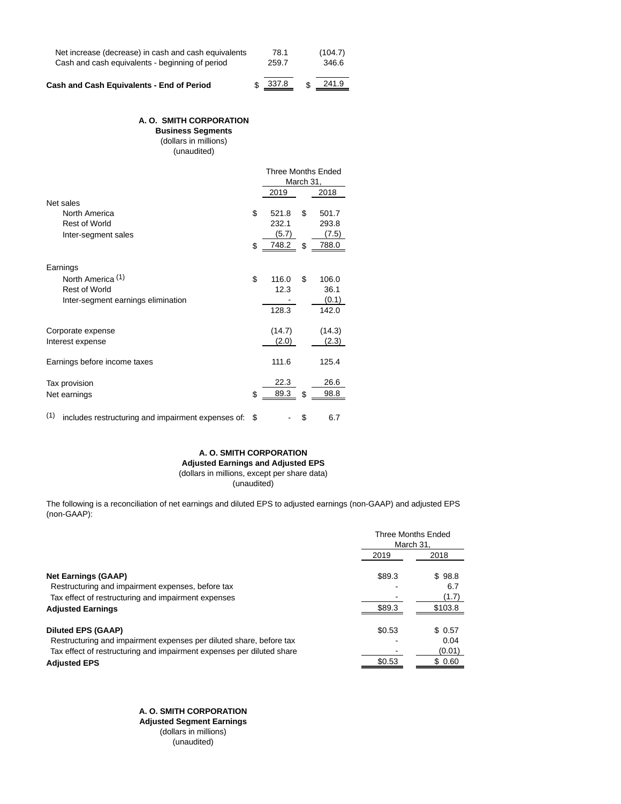| Net increase (decrease) in cash and cash equivalents<br>Cash and cash equivalents - beginning of period | 78.1<br>259.7 |   | (104.7)<br>346.6 |
|---------------------------------------------------------------------------------------------------------|---------------|---|------------------|
| Cash and Cash Equivalents - End of Period                                                               | \$337.8       | ፍ | 241.9            |

### **A. O. SMITH CORPORATION**

**Business Segments** (dollars in millions) (unaudited)

|                                                           | Three Months Ended |    |        |
|-----------------------------------------------------------|--------------------|----|--------|
|                                                           | March 31,          |    |        |
|                                                           | 2019               |    | 2018   |
| Net sales                                                 |                    |    |        |
| North America                                             | \$<br>521.8        | \$ | 501.7  |
| <b>Rest of World</b>                                      | 232.1              |    | 293.8  |
| Inter-segment sales                                       | (5.7)              |    | (7.5)  |
|                                                           | \$<br>748.2        | \$ | 788.0  |
| Earnings                                                  |                    |    |        |
| North America <sup>(1)</sup>                              | \$<br>116.0        | \$ | 106.0  |
| <b>Rest of World</b>                                      | 12.3               |    | 36.1   |
| Inter-segment earnings elimination                        |                    |    | (0.1)  |
|                                                           | 128.3              |    | 142.0  |
|                                                           |                    |    |        |
| Corporate expense                                         | (14.7)             |    | (14.3) |
| Interest expense                                          | (2.0)              |    | (2.3)  |
| Earnings before income taxes                              | 111.6              |    | 125.4  |
| Tax provision                                             | 22.3               |    | 26.6   |
| Net earnings                                              | \$<br>89.3         | \$ | 98.8   |
| (1)<br>includes restructuring and impairment expenses of: | \$                 | \$ | 6.7    |

### **A. O. SMITH CORPORATION Adjusted Earnings and Adjusted EPS** (dollars in millions, except per share data) (unaudited)

The following is a reconciliation of net earnings and diluted EPS to adjusted earnings (non-GAAP) and adjusted EPS (non-GAAP):

|                                                                       | <b>Three Months Ended</b><br>March 31. |         |  |
|-----------------------------------------------------------------------|----------------------------------------|---------|--|
|                                                                       | 2019                                   | 2018    |  |
| <b>Net Earnings (GAAP)</b>                                            | \$89.3                                 | \$98.8  |  |
| Restructuring and impairment expenses, before tax                     |                                        | 6.7     |  |
| Tax effect of restructuring and impairment expenses                   |                                        | (1.7)   |  |
| <b>Adjusted Earnings</b>                                              | \$89.3                                 | \$103.8 |  |
| <b>Diluted EPS (GAAP)</b>                                             | \$0.53                                 | \$ 0.57 |  |
| Restructuring and impairment expenses per diluted share, before tax   |                                        | 0.04    |  |
| Tax effect of restructuring and impairment expenses per diluted share |                                        | (0.01)  |  |
| <b>Adjusted EPS</b>                                                   | \$0.53                                 | \$ 0.60 |  |
|                                                                       |                                        |         |  |

 **A. O. SMITH CORPORATION Adjusted Segment Earnings**  (dollars in millions) (unaudited)